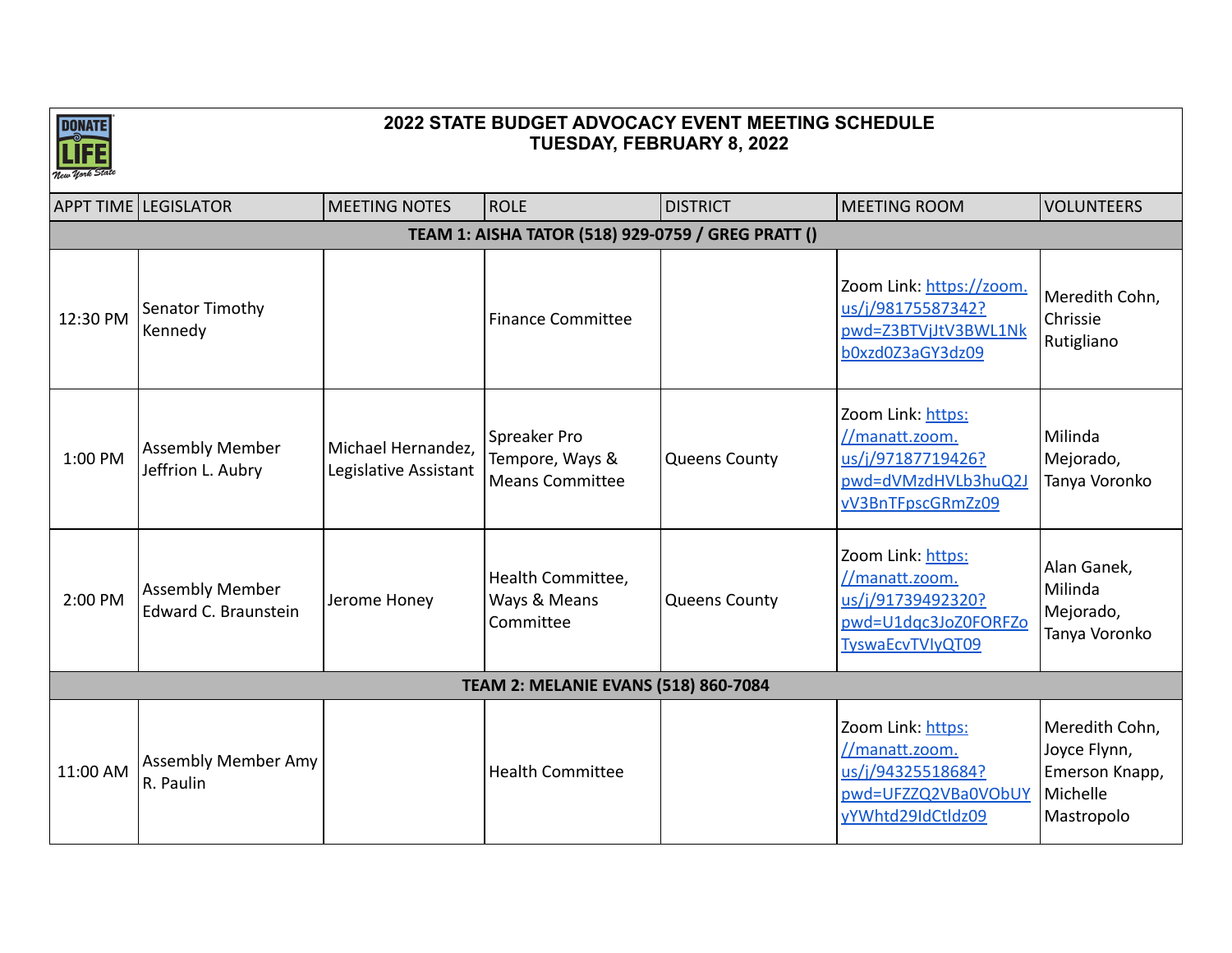

|                                                    | <b>APPT TIME LEGISLATOR</b>                    | <b>MEETING NOTES</b>                        | <b>ROLE</b>                                               | <b>DISTRICT</b>      | <b>MEETING ROOM</b>                                                                                         | <b>VOLUNTEERS</b>                                                          |  |  |  |  |
|----------------------------------------------------|------------------------------------------------|---------------------------------------------|-----------------------------------------------------------|----------------------|-------------------------------------------------------------------------------------------------------------|----------------------------------------------------------------------------|--|--|--|--|
| TEAM 1: AISHA TATOR (518) 929-0759 / GREG PRATT () |                                                |                                             |                                                           |                      |                                                                                                             |                                                                            |  |  |  |  |
| 12:30 PM                                           | Senator Timothy<br>Kennedy                     |                                             | <b>Finance Committee</b>                                  |                      | Zoom Link: https://zoom.<br>us/j/98175587342?<br>pwd=Z3BTVjJtV3BWL1Nk<br>b0xzd0Z3aGY3dz09                   | Meredith Cohn,<br>Chrissie<br>Rutigliano                                   |  |  |  |  |
| 1:00 PM                                            | <b>Assembly Member</b><br>Jeffrion L. Aubry    | Michael Hernandez,<br>Legislative Assistant | Spreaker Pro<br>Tempore, Ways &<br><b>Means Committee</b> | <b>Queens County</b> | Zoom Link: https:<br>//manatt.zoom.<br>us/j/97187719426?<br>pwd=dVMzdHVLb3huQ2J<br>vV3BnTFpscGRmZz09        | Milinda<br>Mejorado,<br>Tanya Voronko                                      |  |  |  |  |
| 2:00 PM                                            | <b>Assembly Member</b><br>Edward C. Braunstein | Jerome Honey                                | Health Committee,<br>Ways & Means<br>Committee            | <b>Queens County</b> | Zoom Link: https:<br>//manatt.zoom.<br>us/j/91739492320?<br>pwd=U1dqc3JoZ0FORFZo<br><b>TyswaEcvTVIyQT09</b> | Alan Ganek,<br>Milinda<br>Mejorado,<br>Tanya Voronko                       |  |  |  |  |
|                                                    |                                                |                                             | <b>TEAM 2: MELANIE EVANS (518) 860-7084</b>               |                      |                                                                                                             |                                                                            |  |  |  |  |
| 11:00 AM                                           | <b>Assembly Member Amy</b><br>R. Paulin        |                                             | <b>Health Committee</b>                                   |                      | Zoom Link: https:<br>//manatt.zoom.<br>us/j/94325518684?<br>pwd=UFZZQ2VBa0VObUY<br>yYWhtd29IdCtldz09        | Meredith Cohn,<br>Joyce Flynn,<br>Emerson Knapp,<br>Michelle<br>Mastropolo |  |  |  |  |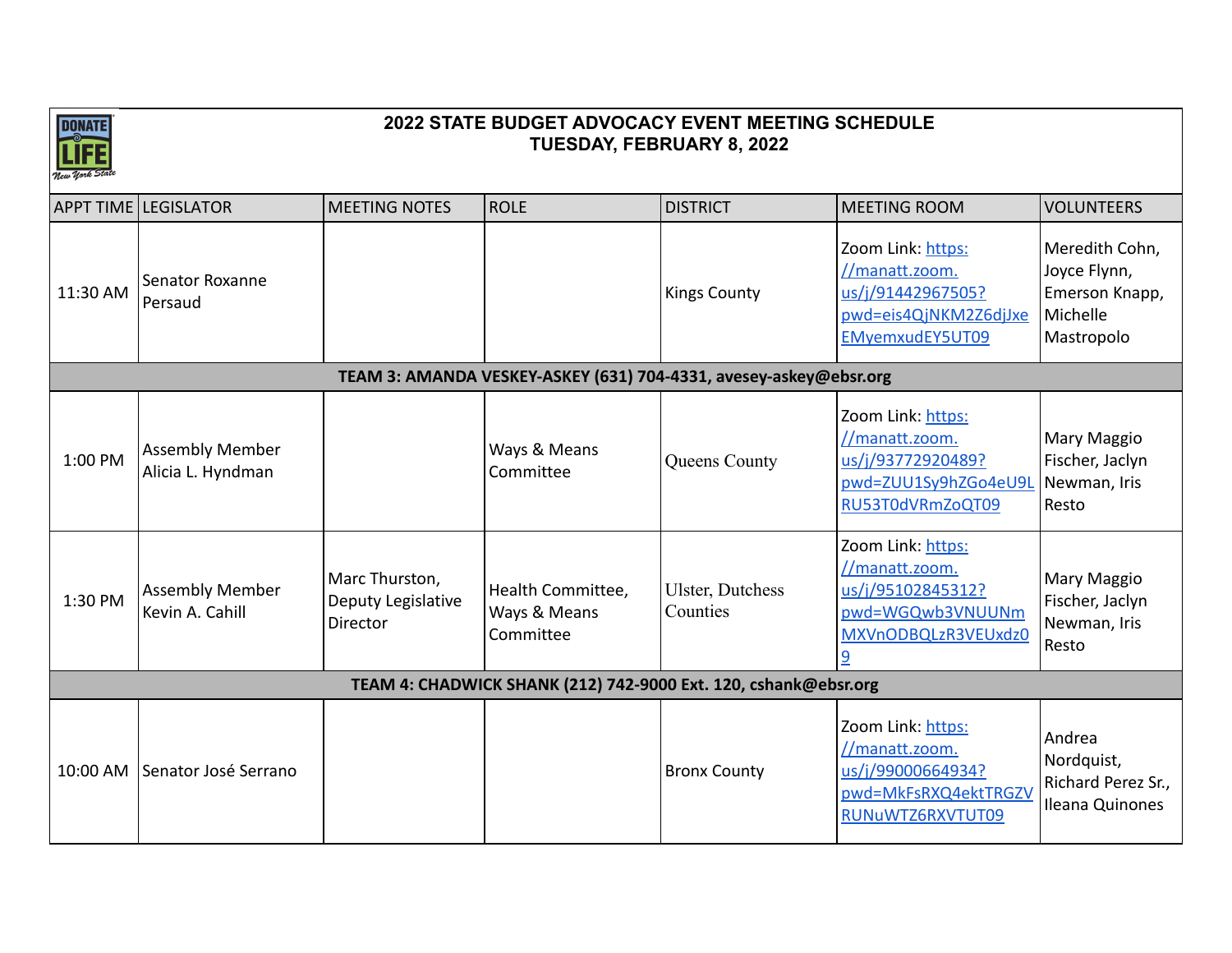

|                                                                   | <b>APPT TIME LEGISLATOR</b>                 | <b>MEETING NOTES</b>                             | <b>ROLE</b>                                                     | <b>DISTRICT</b>                     | MEETING ROOM                                                                                             | <b>VOLUNTEERS</b>                                                          |  |  |  |
|-------------------------------------------------------------------|---------------------------------------------|--------------------------------------------------|-----------------------------------------------------------------|-------------------------------------|----------------------------------------------------------------------------------------------------------|----------------------------------------------------------------------------|--|--|--|
| 11:30 AM                                                          | Senator Roxanne<br>Persaud                  |                                                  |                                                                 | <b>Kings County</b>                 | Zoom Link: https:<br>//manatt.zoom.<br>us/j/91442967505?<br>pwd=eis4QjNKM2Z6djJxe<br>EMyemxudEY5UT09     | Meredith Cohn,<br>Joyce Flynn,<br>Emerson Knapp,<br>Michelle<br>Mastropolo |  |  |  |
| TEAM 3: AMANDA VESKEY-ASKEY (631) 704-4331, avesey-askey@ebsr.org |                                             |                                                  |                                                                 |                                     |                                                                                                          |                                                                            |  |  |  |
| 1:00 PM                                                           | <b>Assembly Member</b><br>Alicia L. Hyndman |                                                  | Ways & Means<br>Committee                                       | Queens County                       | Zoom Link: https:<br>//manatt.zoom.<br>us/j/93772920489?<br>pwd=ZUU1Sy9hZGo4eU9L<br>RU53T0dVRmZoQT09     | Mary Maggio<br>Fischer, Jaclyn<br>Newman, Iris<br>Resto                    |  |  |  |
| 1:30 PM                                                           | <b>Assembly Member</b><br>Kevin A. Cahill   | Marc Thurston,<br>Deputy Legislative<br>Director | Health Committee,<br>Ways & Means<br>Committee                  | <b>Ulster, Dutchess</b><br>Counties | Zoom Link: https:<br>//manatt.zoom.<br>us/j/95102845312?<br>pwd=WGQwb3VNUUNm<br>MXVnODBQLzR3VEUxdz0<br>9 | Mary Maggio<br>Fischer, Jaclyn<br>Newman, Iris<br>Resto                    |  |  |  |
|                                                                   |                                             |                                                  | TEAM 4: CHADWICK SHANK (212) 742-9000 Ext. 120, cshank@ebsr.org |                                     |                                                                                                          |                                                                            |  |  |  |
| 10:00 AM                                                          | Senator José Serrano                        |                                                  |                                                                 | <b>Bronx County</b>                 | Zoom Link: https:<br>//manatt.zoom.<br>us/j/99000664934?<br>pwd=MkFsRXQ4ektTRGZV<br>RUNuWTZ6RXVTUT09     | Andrea<br>Nordquist,<br>Richard Perez Sr.,<br>Ileana Quinones              |  |  |  |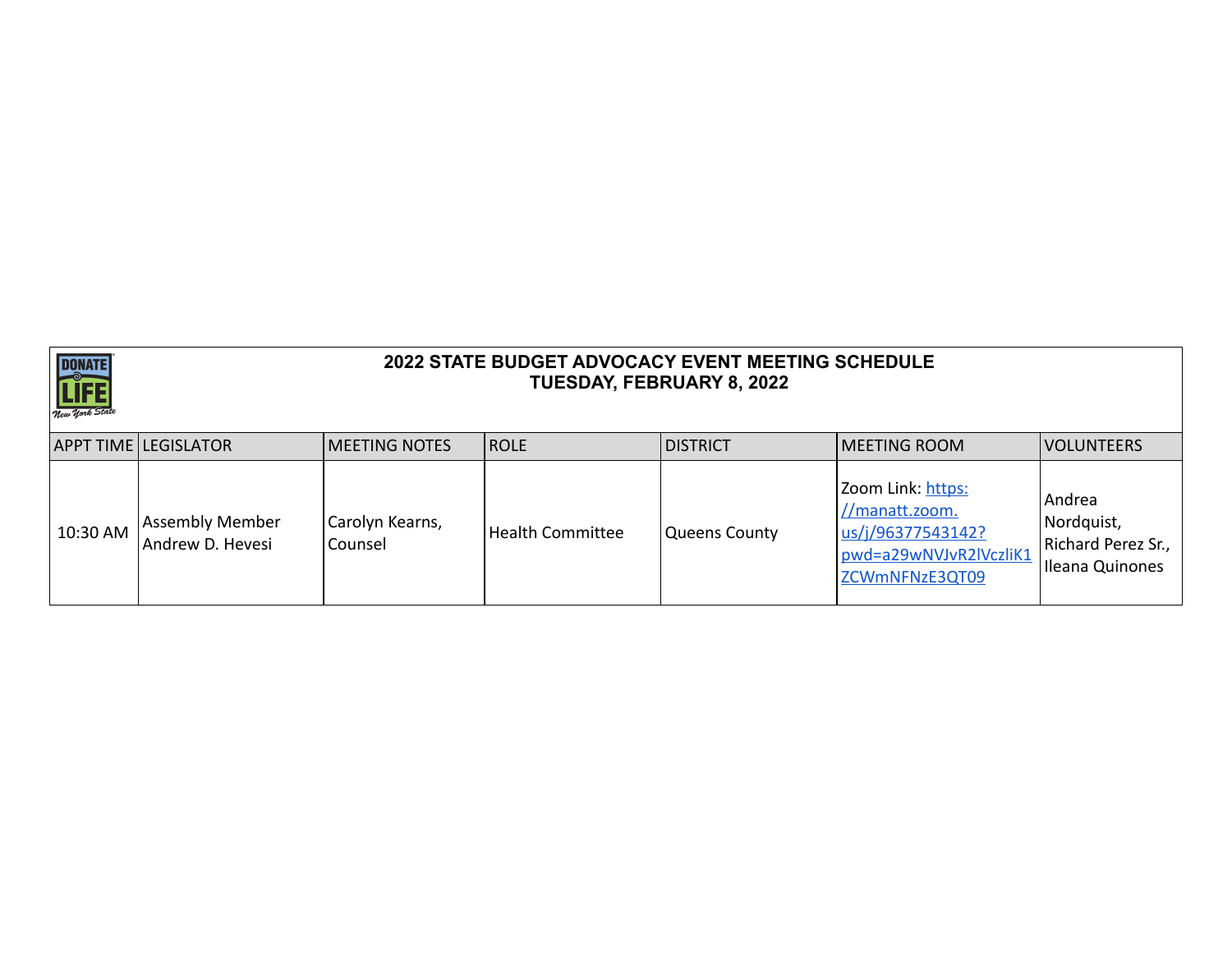

|            | APPT TIME LEGISLATOR                       | <b>IMEETING NOTES</b>      | <b>IROLE</b>            | <b>DISTRICT</b> | <b>IMEETING ROOM</b>                                                                                 | <b>VOLUNTEERS</b>                                             |
|------------|--------------------------------------------|----------------------------|-------------------------|-----------------|------------------------------------------------------------------------------------------------------|---------------------------------------------------------------|
| $10:30$ AM | <b>Assembly Member</b><br>Andrew D. Hevesi | Carolyn Kearns,<br>Counsel | <b>Health Committee</b> | Queens County   | Zoom Link: https:<br>//manatt.zoom.<br>us/j/96377543142?<br>pwd=a29wNVJvR2lVczliK1<br>ZCWmNFNzE3QT09 | Andrea<br>Nordquist,<br>Richard Perez Sr.,<br>Ileana Quinones |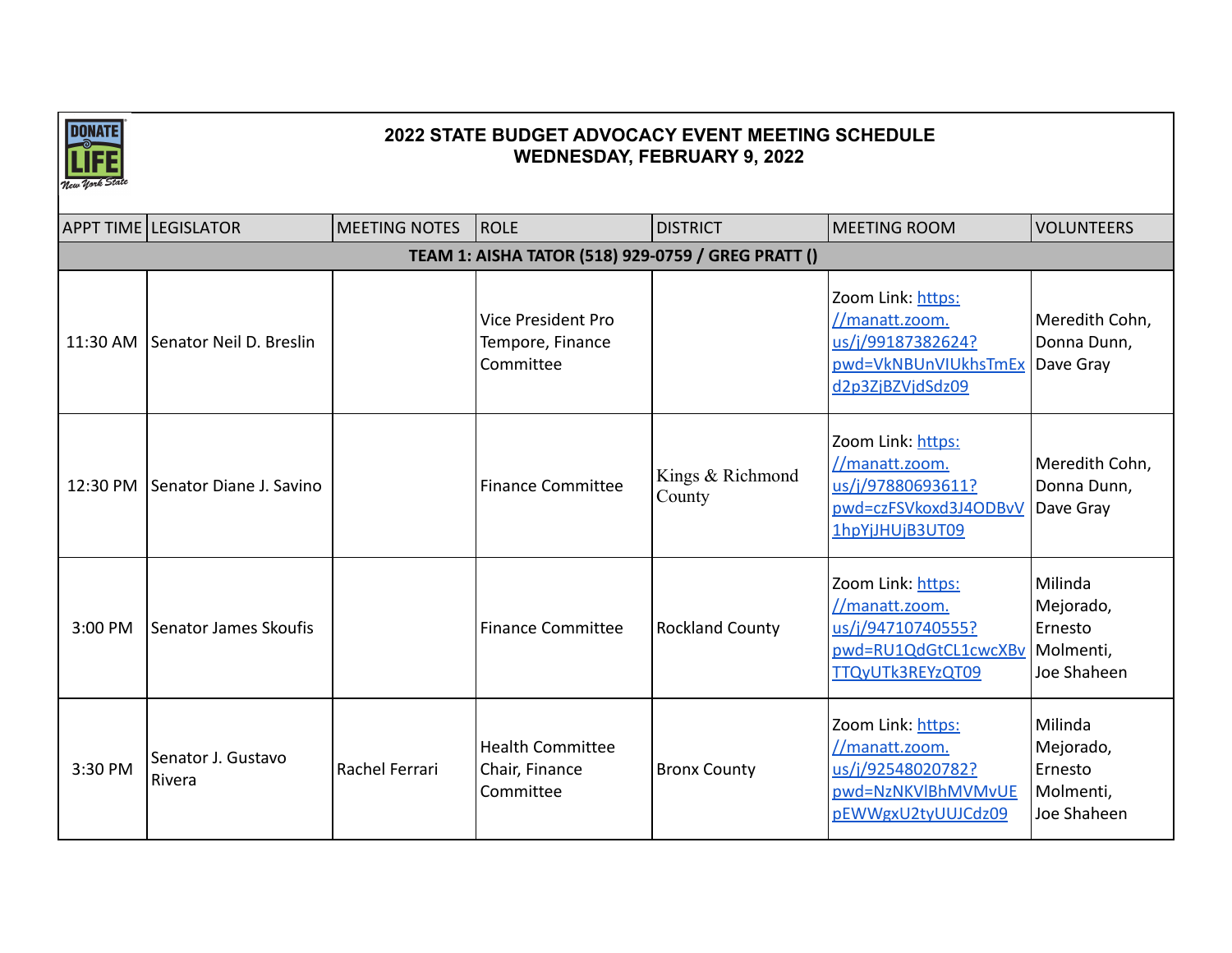

|         | <b>APPT TIME LEGISLATOR</b>      | <b>MEETING NOTES</b> | ROLE                                                       | <b>DISTRICT</b>            | <b>MEETING ROOM</b>                                                                                  | <b>VOLUNTEERS</b>                                           |
|---------|----------------------------------|----------------------|------------------------------------------------------------|----------------------------|------------------------------------------------------------------------------------------------------|-------------------------------------------------------------|
|         |                                  |                      |                                                            |                            |                                                                                                      |                                                             |
|         |                                  |                      | TEAM 1: AISHA TATOR (518) 929-0759 / GREG PRATT ()         |                            |                                                                                                      |                                                             |
|         | 11:30 AM Senator Neil D. Breslin |                      | <b>Vice President Pro</b><br>Tempore, Finance<br>Committee |                            | Zoom Link: https:<br>//manatt.zoom.<br>us/j/99187382624?<br>pwd=VkNBUnVIUkhsTmEx<br>d2p3ZjBZVjdSdz09 | Meredith Cohn,<br>Donna Dunn,<br>Dave Gray                  |
|         | 12:30 PM Senator Diane J. Savino |                      | <b>Finance Committee</b>                                   | Kings & Richmond<br>County | Zoom Link: https:<br>//manatt.zoom.<br>us/j/97880693611?<br>pwd=czFSVkoxd3J4ODBvV<br>1hpYjJHUjB3UT09 | Meredith Cohn,<br>Donna Dunn,<br>Dave Gray                  |
| 3:00 PM | Senator James Skoufis            |                      | <b>Finance Committee</b>                                   | <b>Rockland County</b>     | Zoom Link: https:<br>//manatt.zoom.<br>us/j/94710740555?<br>pwd=RU1QdGtCL1cwcXBv<br>TTQyUTk3REYzQT09 | Milinda<br>Mejorado,<br>Ernesto<br>Molmenti,<br>Joe Shaheen |
| 3:30 PM | Senator J. Gustavo<br>Rivera     | Rachel Ferrari       | <b>Health Committee</b><br>Chair, Finance<br>Committee     | <b>Bronx County</b>        | Zoom Link: https:<br>//manatt.zoom.<br>us/j/92548020782?<br>pwd=NzNKVlBhMVMvUE<br>pEWWgxU2tyUUJCdz09 | Milinda<br>Mejorado,<br>Ernesto<br>Molmenti,<br>Joe Shaheen |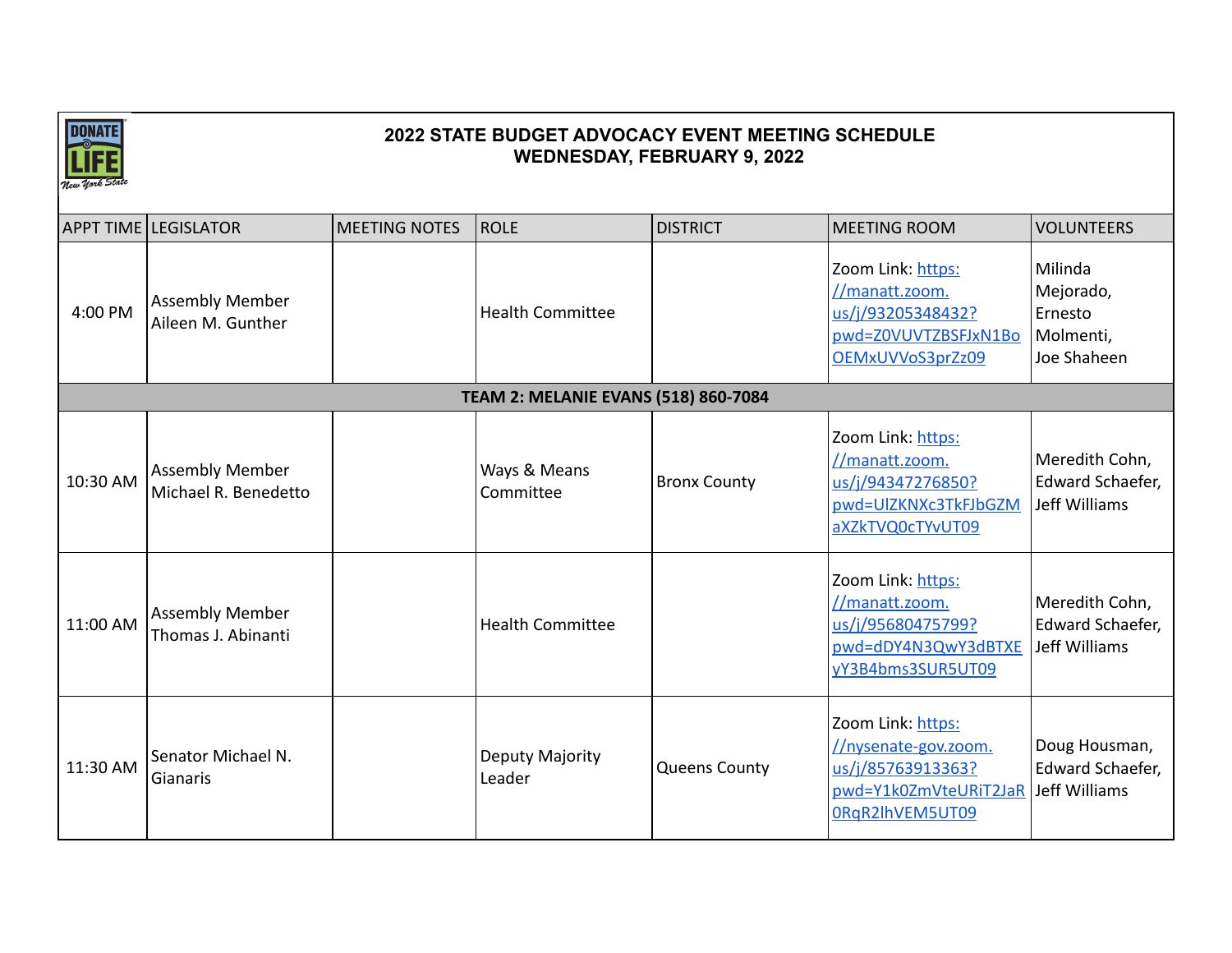

|          | <b>APPT TIME LEGISLATOR</b>                    | <b>MEETING NOTES</b> | ROLE                                        | <b>DISTRICT</b>      | <b>MEETING ROOM</b>                                                                                                      | <b>VOLUNTEERS</b>                                           |
|----------|------------------------------------------------|----------------------|---------------------------------------------|----------------------|--------------------------------------------------------------------------------------------------------------------------|-------------------------------------------------------------|
| 4:00 PM  | <b>Assembly Member</b><br>Aileen M. Gunther    |                      | <b>Health Committee</b>                     |                      | Zoom Link: https:<br>//manatt.zoom.<br>us/j/93205348432?<br>pwd=Z0VUVTZBSFJxN1Bo<br>OEMxUVVoS3prZz09                     | Milinda<br>Mejorado,<br>Ernesto<br>Molmenti,<br>Joe Shaheen |
|          |                                                |                      | <b>TEAM 2: MELANIE EVANS (518) 860-7084</b> |                      |                                                                                                                          |                                                             |
| 10:30 AM | <b>Assembly Member</b><br>Michael R. Benedetto |                      | Ways & Means<br>Committee                   | <b>Bronx County</b>  | Zoom Link: https:<br>//manatt.zoom.<br>us/j/94347276850?<br>pwd=UlZKNXc3TkFJbGZM<br>aXZkTVQ0cTYvUT09                     | Meredith Cohn,<br>Edward Schaefer,<br>Jeff Williams         |
| 11:00 AM | <b>Assembly Member</b><br>Thomas J. Abinanti   |                      | <b>Health Committee</b>                     |                      | Zoom Link: https:<br>//manatt.zoom.<br>us/j/95680475799?<br>pwd=dDY4N3QwY3dBTXE<br>yY3B4bms3SUR5UT09                     | Meredith Cohn,<br>Edward Schaefer,<br>Jeff Williams         |
| 11:30 AM | Senator Michael N.<br>Gianaris                 |                      | Deputy Majority<br>Leader                   | <b>Queens County</b> | Zoom Link: https:<br>//nysenate-gov.zoom.<br>us/j/85763913363?<br>pwd=Y1k0ZmVteURiT2JaR Jeff Williams<br>0RqR2lhVEM5UT09 | Doug Housman,<br>Edward Schaefer,                           |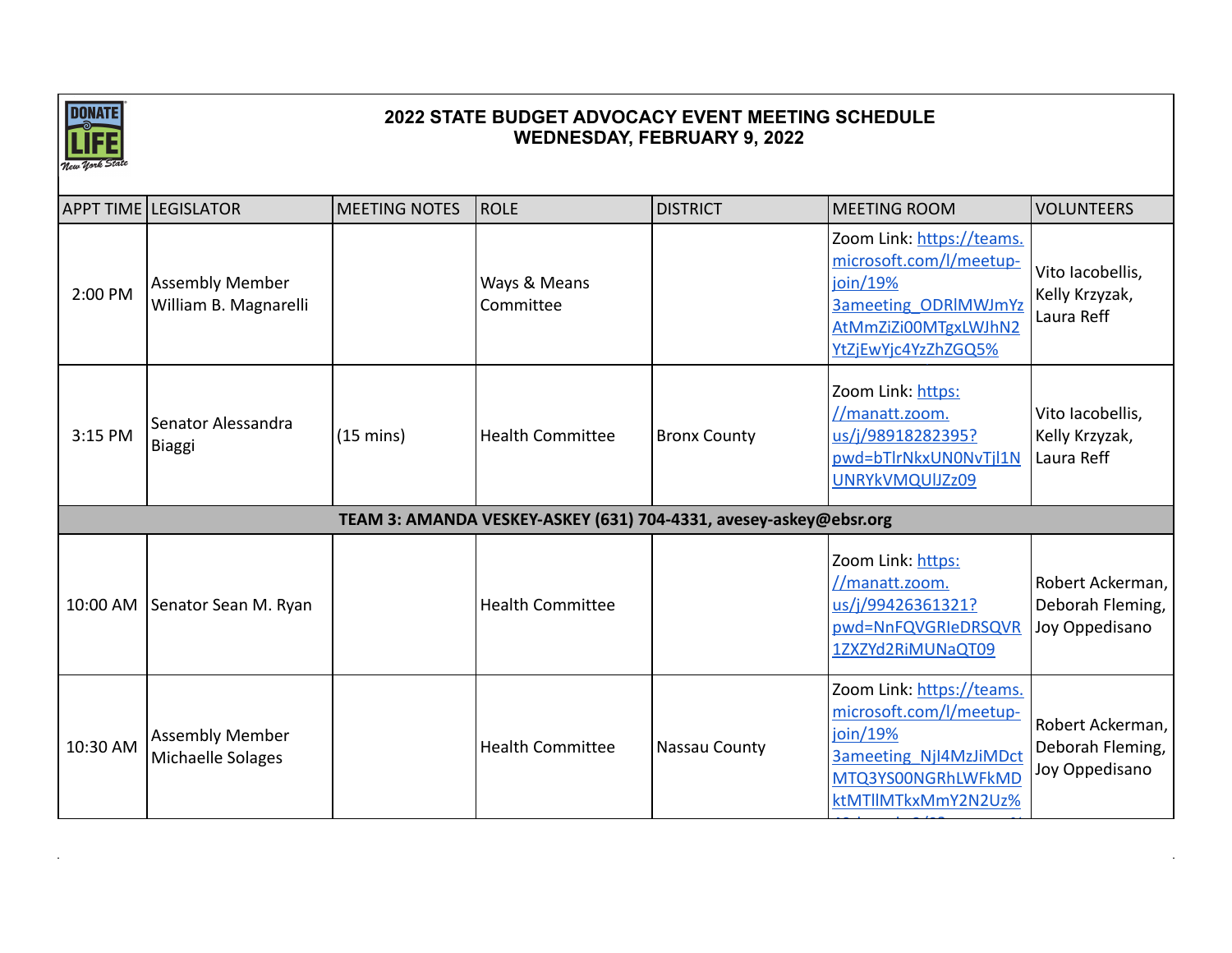

|          | <b>APPT TIME LEGISLATOR</b>                     | <b>MEETING NOTES</b> | ROLE                                                              | <b>DISTRICT</b>     | <b>MEETING ROOM</b>                                                                                                                            | <b>VOLUNTEERS</b>                                      |
|----------|-------------------------------------------------|----------------------|-------------------------------------------------------------------|---------------------|------------------------------------------------------------------------------------------------------------------------------------------------|--------------------------------------------------------|
| 2:00 PM  | <b>Assembly Member</b><br>William B. Magnarelli |                      | Ways & Means<br>Committee                                         |                     | Zoom Link: https://teams.<br>microsoft.com/l/meetup-<br>join/19%<br><b>3ameeting ODRIMWJmYz</b><br>AtMmZiZi00MTgxLWJhN2<br>YtZjEwYjc4YzZhZGQ5% | Vito Iacobellis,<br>Kelly Krzyzak,<br>Laura Reff       |
| 3:15 PM  | Senator Alessandra<br>Biaggi                    | $(15 \text{ mins})$  | <b>Health Committee</b>                                           | <b>Bronx County</b> | Zoom Link: https:<br>//manatt.zoom.<br>us/j/98918282395?<br>pwd=bTlrNkxUN0NvTjl1N<br>UNRYkVMQUIJZz09                                           | Vito Iacobellis,<br>Kelly Krzyzak,<br>Laura Reff       |
|          |                                                 |                      | TEAM 3: AMANDA VESKEY-ASKEY (631) 704-4331, avesey-askey@ebsr.org |                     |                                                                                                                                                |                                                        |
|          | 10:00 AM Senator Sean M. Ryan                   |                      | <b>Health Committee</b>                                           |                     | Zoom Link: https:<br>//manatt.zoom.<br>us/j/99426361321?<br>pwd=NnFQVGRIeDRSQVR<br>1ZXZYd2RiMUNaQT09                                           | Robert Ackerman,<br>Deborah Fleming,<br>Joy Oppedisano |
| 10:30 AM | <b>Assembly Member</b><br>Michaelle Solages     |                      | <b>Health Committee</b>                                           | Nassau County       | Zoom Link: https://teams.<br>microsoft.com/l/meetup-<br>join/19%<br><b>3ameeting NjI4MzJiMDct</b><br>MTQ3YS00NGRhLWFkMD<br>ktMTllMTkxMmY2N2Uz% | Robert Ackerman,<br>Deborah Fleming,<br>Joy Oppedisano |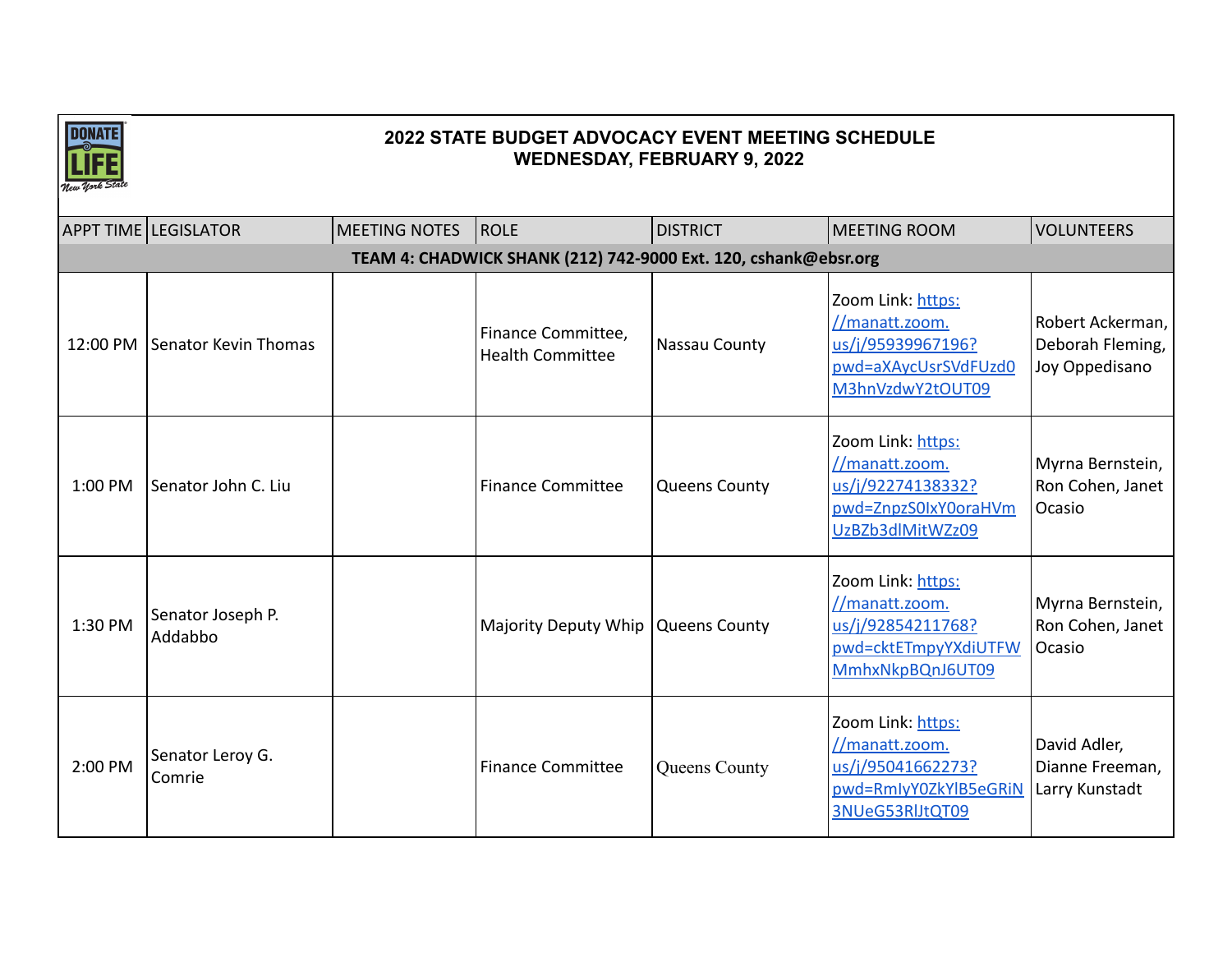

|          | APPT TIME LEGISLATOR                                            | <b>MEETING NOTES</b> | ROLE                                          | <b>DISTRICT</b>      | <b>MEETING ROOM</b>                                                                                  | <b>VOLUNTEERS</b>                                      |  |  |  |  |
|----------|-----------------------------------------------------------------|----------------------|-----------------------------------------------|----------------------|------------------------------------------------------------------------------------------------------|--------------------------------------------------------|--|--|--|--|
|          | TEAM 4: CHADWICK SHANK (212) 742-9000 Ext. 120, cshank@ebsr.org |                      |                                               |                      |                                                                                                      |                                                        |  |  |  |  |
| 12:00 PM | Senator Kevin Thomas                                            |                      | Finance Committee,<br><b>Health Committee</b> | Nassau County        | Zoom Link: https:<br>//manatt.zoom.<br>us/j/95939967196?<br>pwd=aXAycUsrSVdFUzd0<br>M3hnVzdwY2tOUT09 | Robert Ackerman,<br>Deborah Fleming,<br>Joy Oppedisano |  |  |  |  |
| 1:00 PM  | Senator John C. Liu                                             |                      | <b>Finance Committee</b>                      | <b>Queens County</b> | Zoom Link: https:<br>//manatt.zoom.<br>us/j/92274138332?<br>pwd=ZnpzS0IxY0oraHVm<br>UzBZb3dlMitWZz09 | Myrna Bernstein,<br>Ron Cohen, Janet<br>Ocasio         |  |  |  |  |
| 1:30 PM  | Senator Joseph P.<br>Addabbo                                    |                      | Majority Deputy Whip Queens County            |                      | Zoom Link: https:<br>//manatt.zoom.<br>us/j/92854211768?<br>pwd=cktETmpyYXdiUTFW<br>MmhxNkpBQnJ6UT09 | Myrna Bernstein,<br>Ron Cohen, Janet<br>Ocasio         |  |  |  |  |
| 2:00 PM  | Senator Leroy G.<br>Comrie                                      |                      | <b>Finance Committee</b>                      | Queens County        | Zoom Link: https:<br>//manatt.zoom.<br>us/j/95041662273?<br>pwd=RmIyY0ZkYlB5eGRiN<br>3NUeG53RIJtQT09 | David Adler,<br>Dianne Freeman,<br>Larry Kunstadt      |  |  |  |  |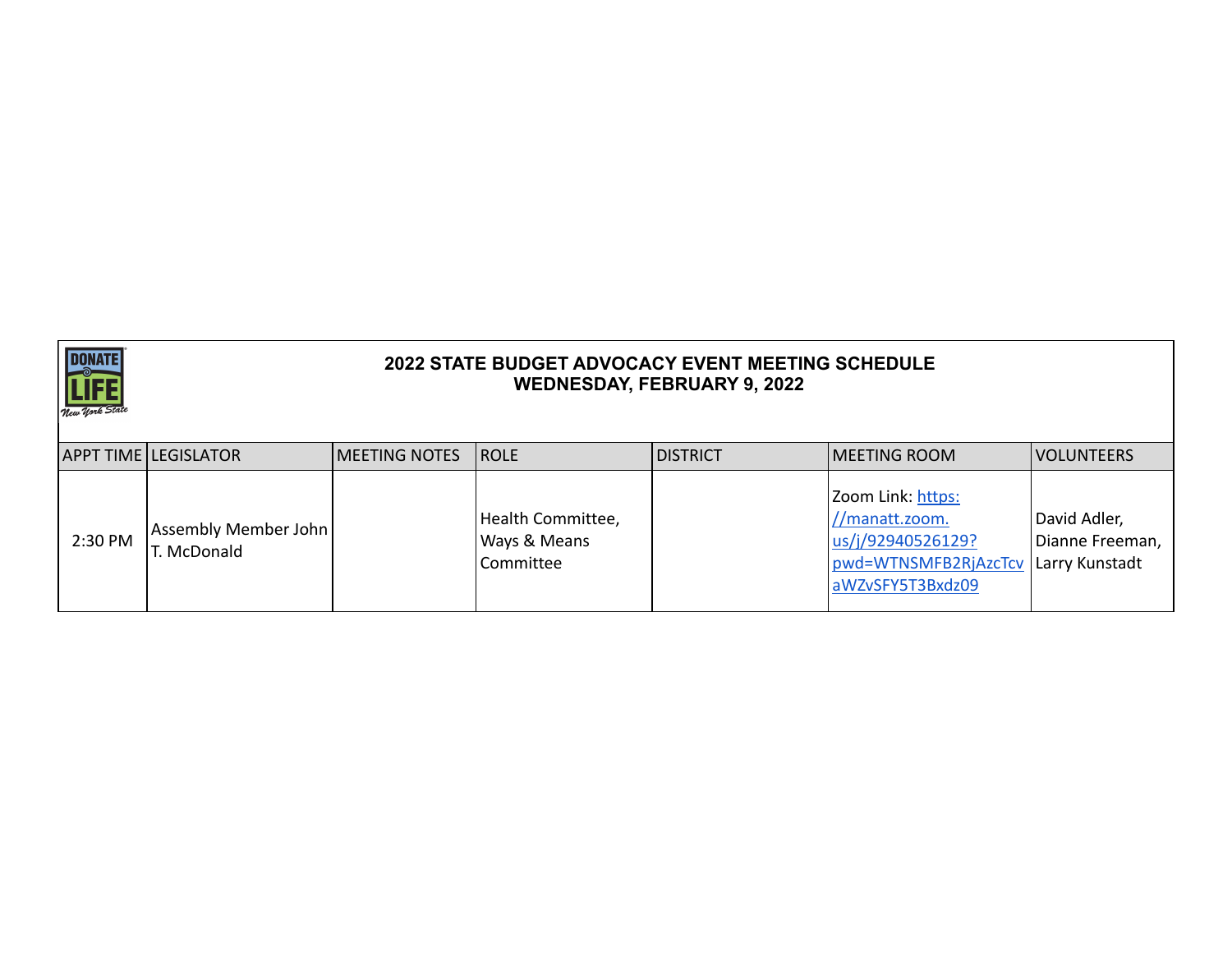

|         | <b>APPT TIME LEGISLATOR</b>      | <b>IMEETING NOTES</b> | <b>ROLE</b>                                               | <b>IDISTRICT</b> | <b>IMEETING ROOM</b>                                                                                                | <b>VOLUNTEERS</b>               |
|---------|----------------------------------|-----------------------|-----------------------------------------------------------|------------------|---------------------------------------------------------------------------------------------------------------------|---------------------------------|
| 2:30 PM | Assembly Member John<br>McDonald |                       | Health Committee,<br><b>Ways &amp; Means</b><br>Committee |                  | Zoom Link: https:<br>//manatt.zoom.<br>us/j/92940526129?<br>pwd=WTNSMFB2RjAzcTcv Larry Kunstadt<br>aWZvSFY5T3Bxdz09 | David Adler,<br>Dianne Freeman, |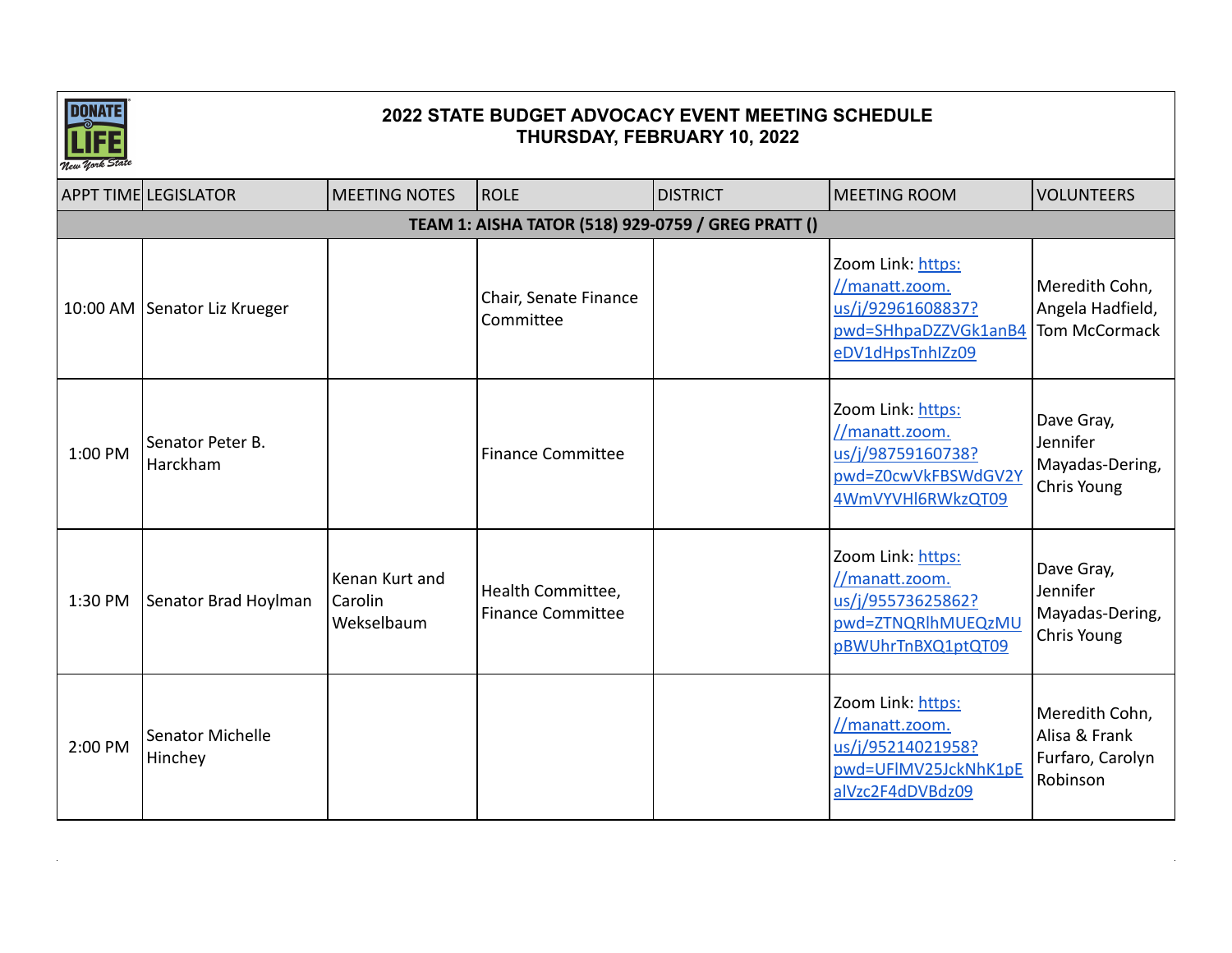

|                                                    | <b>APPT TIME LEGISLATOR</b>    | <b>MEETING NOTES</b>                    | <b>ROLE</b>                                   | <b>DISTRICT</b> | <b>MEETING ROOM</b>                                                                                  | <b>VOLUNTEERS</b>                                               |  |  |  |
|----------------------------------------------------|--------------------------------|-----------------------------------------|-----------------------------------------------|-----------------|------------------------------------------------------------------------------------------------------|-----------------------------------------------------------------|--|--|--|
| TEAM 1: AISHA TATOR (518) 929-0759 / GREG PRATT () |                                |                                         |                                               |                 |                                                                                                      |                                                                 |  |  |  |
|                                                    | 10:00 AM   Senator Liz Krueger |                                         | Chair, Senate Finance<br>Committee            |                 | Zoom Link: https:<br>//manatt.zoom.<br>us/j/92961608837?<br>pwd=SHhpaDZZVGk1anB4<br>eDV1dHpsTnhIZz09 | Meredith Cohn,<br>Angela Hadfield,<br>Tom McCormack             |  |  |  |
| 1:00 PM                                            | Senator Peter B.<br>Harckham   |                                         | <b>Finance Committee</b>                      |                 | Zoom Link: https:<br>//manatt.zoom.<br>us/j/98759160738?<br>pwd=Z0cwVkFBSWdGV2Y<br>4WmVYVHI6RWkzQT09 | Dave Gray,<br>Jennifer<br>Mayadas-Dering,<br>Chris Young        |  |  |  |
| 1:30 PM                                            | Senator Brad Hoylman           | Kenan Kurt and<br>Carolin<br>Wekselbaum | Health Committee,<br><b>Finance Committee</b> |                 | Zoom Link: https:<br>//manatt.zoom.<br>us/j/95573625862?<br>pwd=ZTNQRlhMUEQzMU<br>pBWUhrTnBXQ1ptQT09 | Dave Gray,<br>Jennifer<br>Mayadas-Dering,<br>Chris Young        |  |  |  |
| 2:00 PM                                            | Senator Michelle<br>Hinchey    |                                         |                                               |                 | Zoom Link: https:<br>//manatt.zoom.<br>us/j/95214021958?<br>pwd=UFIMV25JckNhK1pE<br>alVzc2F4dDVBdz09 | Meredith Cohn,<br>Alisa & Frank<br>Furfaro, Carolyn<br>Robinson |  |  |  |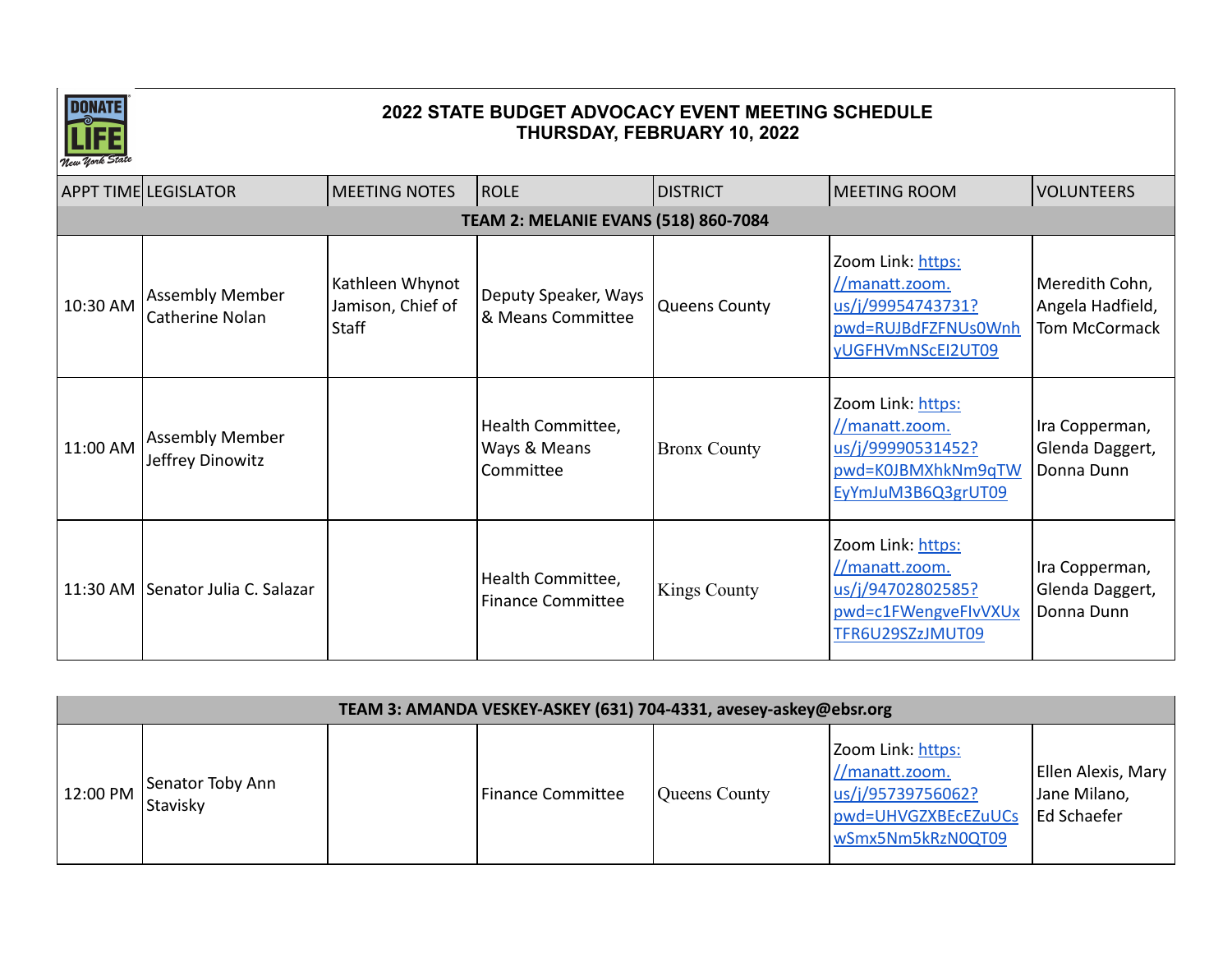

| New York Stave                              |                                            |                                               |                                                |                      |                                                                                                      |                                                            |  |  |  |
|---------------------------------------------|--------------------------------------------|-----------------------------------------------|------------------------------------------------|----------------------|------------------------------------------------------------------------------------------------------|------------------------------------------------------------|--|--|--|
|                                             | <b>APPT TIME LEGISLATOR</b>                | <b>MEETING NOTES</b>                          | <b>ROLE</b>                                    | <b>DISTRICT</b>      | <b>MEETING ROOM</b>                                                                                  | <b>VOLUNTEERS</b>                                          |  |  |  |
| <b>TEAM 2: MELANIE EVANS (518) 860-7084</b> |                                            |                                               |                                                |                      |                                                                                                      |                                                            |  |  |  |
| 10:30 AM                                    | <b>Assembly Member</b><br>Catherine Nolan  | Kathleen Whynot<br>Jamison, Chief of<br>Staff | Deputy Speaker, Ways<br>& Means Committee      | <b>Queens County</b> | Zoom Link: https:<br>//manatt.zoom.<br>us/j/99954743731?<br>pwd=RUJBdFZFNUs0Wnh<br>yUGFHVmNScEI2UT09 | Meredith Cohn,<br>Angela Hadfield,<br><b>Tom McCormack</b> |  |  |  |
| 11:00 AM                                    | <b>Assembly Member</b><br>Jeffrey Dinowitz |                                               | Health Committee,<br>Ways & Means<br>Committee | <b>Bronx County</b>  | Zoom Link: https:<br>//manatt.zoom.<br>us/j/99990531452?<br>pwd=K0JBMXhkNm9qTW<br>EyYmJuM3B6Q3grUT09 | Ira Copperman,<br>Glenda Daggert,<br>Donna Dunn            |  |  |  |
|                                             | 11:30 AM Senator Julia C. Salazar          |                                               | Health Committee,<br><b>Finance Committee</b>  | <b>Kings County</b>  | Zoom Link: https:<br>//manatt.zoom.<br>us/j/94702802585?<br>pwd=c1FWengveFlvVXUx<br>TFR6U29SZzJMUT09 | Ira Copperman,<br>Glenda Daggert,<br>Donna Dunn            |  |  |  |

|          | TEAM 3: AMANDA VESKEY-ASKEY (631) 704-4331, avesey-askey@ebsr.org |  |                          |               |                                                                                                      |                                                   |  |  |
|----------|-------------------------------------------------------------------|--|--------------------------|---------------|------------------------------------------------------------------------------------------------------|---------------------------------------------------|--|--|
| 12:00 PM | Senator Toby Ann<br>Stavisky                                      |  | <b>Finance Committee</b> | Queens County | Zoom Link: https:<br>//manatt.zoom.<br>us/j/95739756062?<br>pwd=UHVGZXBEcEZuUCs<br>wSmx5Nm5kRzN0QT09 | Ellen Alexis, Mary<br>Jane Milano,<br>Ed Schaefer |  |  |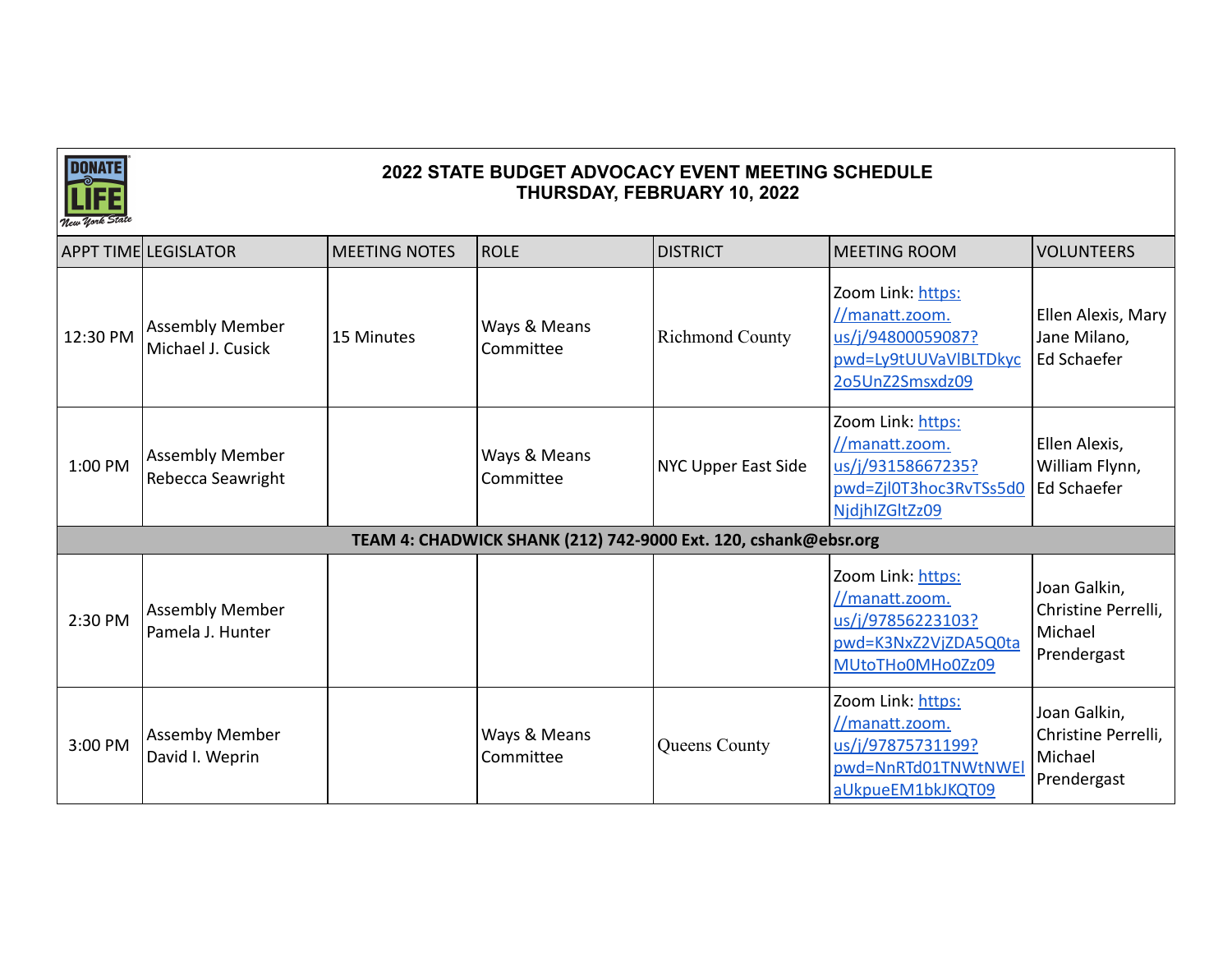

|          | <b>APPT TIME LEGISLATOR</b>                 | <b>MEETING NOTES</b> | <b>ROLE</b>                                                     | <b>DISTRICT</b>        | <b>MEETING ROOM</b>                                                                                  | <b>VOLUNTEERS</b>                                             |  |  |  |
|----------|---------------------------------------------|----------------------|-----------------------------------------------------------------|------------------------|------------------------------------------------------------------------------------------------------|---------------------------------------------------------------|--|--|--|
| 12:30 PM | <b>Assembly Member</b><br>Michael J. Cusick | 15 Minutes           | Ways & Means<br>Committee                                       | <b>Richmond County</b> | Zoom Link: https:<br>//manatt.zoom.<br>us/j/94800059087?<br>pwd=Ly9tUUVaVIBLTDkyc<br>2o5UnZ2Smsxdz09 | Ellen Alexis, Mary<br>Jane Milano,<br>Ed Schaefer             |  |  |  |
| 1:00 PM  | <b>Assembly Member</b><br>Rebecca Seawright |                      | Ways & Means<br>Committee                                       | NYC Upper East Side    | Zoom Link: https:<br>//manatt.zoom.<br>us/j/93158667235?<br>pwd=Zjl0T3hoc3RvTSs5d0<br>NidjhIZGItZz09 | Ellen Alexis,<br>William Flynn,<br>Ed Schaefer                |  |  |  |
|          |                                             |                      | TEAM 4: CHADWICK SHANK (212) 742-9000 Ext. 120, cshank@ebsr.org |                        |                                                                                                      |                                                               |  |  |  |
| 2:30 PM  | <b>Assembly Member</b><br>Pamela J. Hunter  |                      |                                                                 |                        | Zoom Link: https:<br>//manatt.zoom.<br>us/j/97856223103?<br>pwd=K3NxZ2VjZDA5Q0ta<br>MUtoTHo0MHo0Zz09 | Joan Galkin,<br>Christine Perrelli,<br>Michael<br>Prendergast |  |  |  |
| 3:00 PM  | <b>Assemby Member</b><br>David I. Weprin    |                      | Ways & Means<br>Committee                                       | Queens County          | Zoom Link: https:<br>//manatt.zoom.<br>us/j/97875731199?<br>pwd=NnRTd01TNWtNWEI<br>aUkpueEM1bkJKQT09 | Joan Galkin,<br>Christine Perrelli,<br>Michael<br>Prendergast |  |  |  |